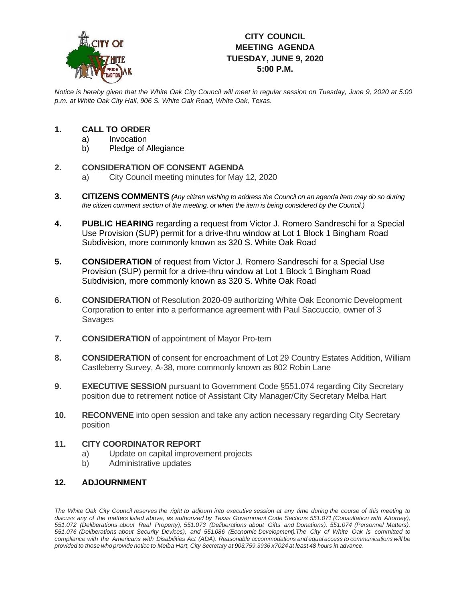

# **CITY COUNCIL MEETING AGENDA TUESDAY, JUNE 9, 2020 5:00 P.M.**

*Notice is hereby given that the White Oak City Council will meet in regular session on Tuesday, June 9, 2020 at 5:00 p.m. at White Oak City Hall, 906 S. White Oak Road, White Oak, Texas.*

### **1. CALL TO ORDER**

- a) Invocation
- b) Pledge of Allegiance

### **2. CONSIDERATION OF CONSENT AGENDA**

- a) City Council meeting minutes for May 12, 2020
- **3. CITIZENS COMMENTS** *(Any citizen wishing to address the Council on an agenda item may do so during the citizen comment section of the meeting, or when the item is being considered by the Council.)*
- **4. PUBLIC HEARING** regarding a request from Victor J. Romero Sandreschi for a Special Use Provision (SUP) permit for a drive-thru window at Lot 1 Block 1 Bingham Road Subdivision, more commonly known as 320 S. White Oak Road
- **5. CONSIDERATION** of request from Victor J. Romero Sandreschi for a Special Use Provision (SUP) permit for a drive-thru window at Lot 1 Block 1 Bingham Road Subdivision, more commonly known as 320 S. White Oak Road
- **6. CONSIDERATION** of Resolution 2020-09 authorizing White Oak Economic Development Corporation to enter into a performance agreement with Paul Saccuccio, owner of 3 Savages
- **7. CONSIDERATION** of appointment of Mayor Pro-tem
- **8. CONSIDERATION** of consent for encroachment of Lot 29 Country Estates Addition, William Castleberry Survey, A-38, more commonly known as 802 Robin Lane
- **9. EXECUTIVE SESSION** pursuant to Government Code §551.074 regarding City Secretary position due to retirement notice of Assistant City Manager/City Secretary Melba Hart
- **10. RECONVENE** into open session and take any action necessary regarding City Secretary position

### **11. CITY COORDINATOR REPORT**

- a) Update on capital improvement projects
- b) Administrative updates

## **12. ADJOURNMENT**

The White Oak City Council reserves the right to adjourn into executive session at any time during the course of this meeting to discuss any of the matters listed above, as authorized by Texas Government Code Sections 551.071 (Consultation with Attorney), *551.072 (Deliberations about Real Property), 551.073 (Deliberations about Gifts and Donations), 551.074 (Personnel Matters), 551.076 (Deliberations about Security Devices), and 551.086 (Economic Development).The City of White Oak is committed to* compliance with the Americans with Disabilities Act (ADA). Reasonable accommodations and equal access to communications will be provided to those who provide notice to Melba Hart, City Secretary at 903.759.3936 x7024 at least 48 hours in advance.